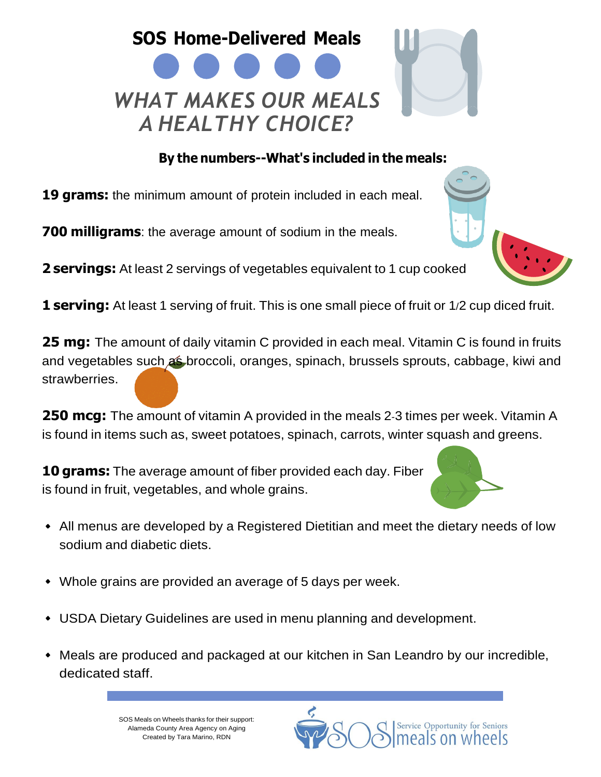## **SOS Home-Delivered Meals** *WHAT MAKES OUR MEALS A HEALTHY CHOICE?*

## **By the numbers--What's included in the meals:**

**19 grams:** the minimum amount of protein included in each meal.

**700 milligrams**: the average amount of sodium in the meals.

**2 servings:** At least 2 servings of vegetables equivalent to 1 cup cooked

**1 serving:** At least 1 serving of fruit. This is one small piece of fruit or 1/2 cup diced fruit.

**25 mg:** The amount of daily vitamin C provided in each meal. Vitamin C is found in fruits and vegetables such as broccoli, oranges, spinach, brussels sprouts, cabbage, kiwi and strawberries.

**250 mcg:** The amount of vitamin A provided in the meals 2-3 times per week. Vitamin A is found in items such as, sweet potatoes, spinach, carrots, winter squash and greens.

**10 grams:** The average amount of fiber provided each day. Fiber is found in fruit, vegetables, and whole grains.

- All menus are developed by a Registered Dietitian and meet the dietary needs of low sodium and diabetic diets.
- Whole grains are provided an average of 5 days per week.
- USDA Dietary Guidelines are used in menu planning and development.
- Meals are produced and packaged at our kitchen in San Leandro by our incredible, dedicated staff.

SOS Meals on Wheels thanks for their support: Alameda County Area Agency on Aging Created by Tara Marino, RDN